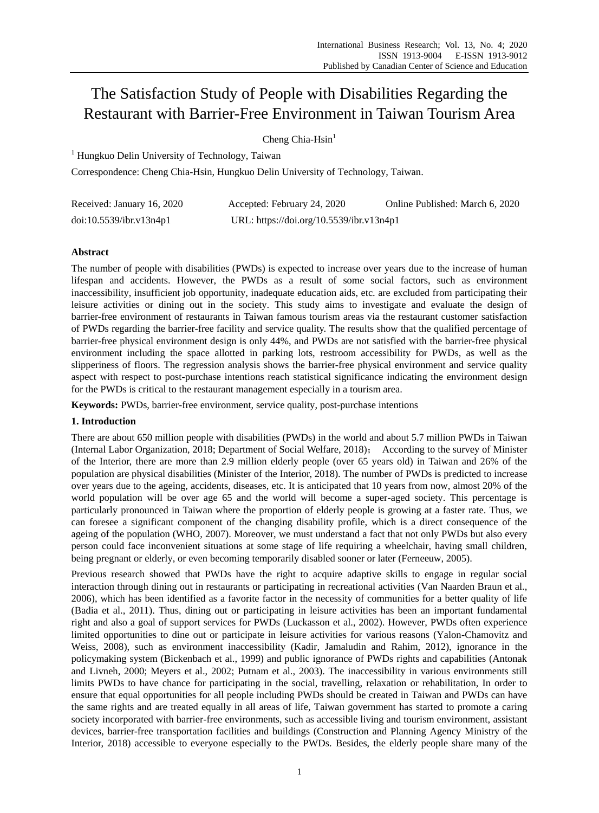# The Satisfaction Study of People with Disabilities Regarding the Restaurant with Barrier-Free Environment in Taiwan Tourism Area

Cheng Chia-Hsin $<sup>1</sup>$ </sup>

<sup>1</sup> Hungkuo Delin University of Technology, Taiwan

Correspondence: Cheng Chia-Hsin, Hungkuo Delin University of Technology, Taiwan.

| Received: January 16, 2020 | Accepted: February 24, 2020              | Online Published: March 6, 2020 |
|----------------------------|------------------------------------------|---------------------------------|
| doi:10.5539/ibr.v13n4p1    | URL: https://doi.org/10.5539/ibr.v13n4p1 |                                 |

# **Abstract**

The number of people with disabilities (PWDs) is expected to increase over years due to the increase of human lifespan and accidents. However, the PWDs as a result of some social factors, such as environment inaccessibility, insufficient job opportunity, inadequate education aids, etc. are excluded from participating their leisure activities or dining out in the society. This study aims to investigate and evaluate the design of barrier-free environment of restaurants in Taiwan famous tourism areas via the restaurant customer satisfaction of PWDs regarding the barrier-free facility and service quality. The results show that the qualified percentage of barrier-free physical environment design is only 44%, and PWDs are not satisfied with the barrier-free physical environment including the space allotted in parking lots, restroom accessibility for PWDs, as well as the slipperiness of floors. The regression analysis shows the barrier-free physical environment and service quality aspect with respect to post-purchase intentions reach statistical significance indicating the environment design for the PWDs is critical to the restaurant management especially in a tourism area.

**Keywords:** PWDs, barrier-free environment, service quality, post-purchase intentions

# **1. Introduction**

There are about 650 million people with disabilities (PWDs) in the world and about 5.7 million PWDs in Taiwan (Internal Labor Organization, 2018; Department of Social Welfare, 2018); According to the survey of Minister of the Interior, there are more than 2.9 million elderly people (over 65 years old) in Taiwan and 26% of the population are physical disabilities (Minister of the Interior, 2018). The number of PWDs is predicted to increase over years due to the ageing, accidents, diseases, etc. It is anticipated that 10 years from now, almost 20% of the world population will be over age 65 and the world will become a super-aged society. This percentage is particularly pronounced in Taiwan where the proportion of elderly people is growing at a faster rate. Thus, we can foresee a significant component of the changing disability profile, which is a direct consequence of the ageing of the population (WHO, 2007). Moreover, we must understand a fact that not only PWDs but also every person could face inconvenient situations at some stage of life requiring a wheelchair, having small children, being pregnant or elderly, or even becoming temporarily disabled sooner or later (Ferneeuw, 2005).

Previous research showed that PWDs have the right to acquire adaptive skills to engage in regular social interaction through dining out in restaurants or participating in recreational activities (Van Naarden Braun et al., 2006), which has been identified as a favorite factor in the necessity of communities for a better quality of life (Badia et al., 2011). Thus, dining out or participating in leisure activities has been an important fundamental right and also a goal of support services for PWDs (Luckasson et al., 2002). However, PWDs often experience limited opportunities to dine out or participate in leisure activities for various reasons (Yalon-Chamovitz and Weiss, 2008), such as environment inaccessibility (Kadir, Jamaludin and Rahim, 2012), ignorance in the policymaking system (Bickenbach et al., 1999) and public ignorance of PWDs rights and capabilities (Antonak and Livneh, 2000; Meyers et al., 2002; Putnam et al., 2003). The inaccessibility in various environments still limits PWDs to have chance for participating in the social, travelling, relaxation or rehabilitation, In order to ensure that equal opportunities for all people including PWDs should be created in Taiwan and PWDs can have the same rights and are treated equally in all areas of life, Taiwan government has started to promote a caring society incorporated with barrier-free environments, such as accessible living and tourism environment, assistant devices, barrier-free transportation facilities and buildings (Construction and Planning Agency Ministry of the Interior, 2018) accessible to everyone especially to the PWDs. Besides, the elderly people share many of the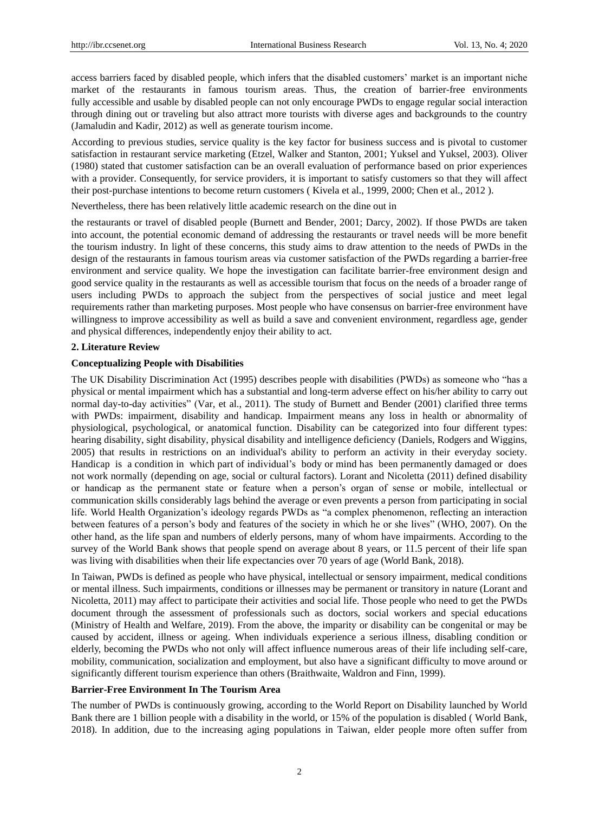access barriers faced by disabled people, which infers that the disabled customers' market is an important niche market of the restaurants in famous tourism areas. Thus, the creation of barrier-free environments fully [accessible](http://www.dictionaryofconstruction.com/definition/accessible.html) and usable by disabled people can not only encourage PWDs to engage regular social interaction through dining out or traveling but also attract more tourists with diverse ages and backgrounds to the country (Jamaludin and Kadir, 2012) as well as generate tourism income.

According to previous studies, service quality is the key factor for business success and is pivotal to customer satisfaction in restaurant service marketing (Etzel, Walker and Stanton, 2001; Yuksel and Yuksel, 2003). Oliver (1980) stated that customer satisfaction can be an overall evaluation of performance based on prior experiences with a provider. Consequently, for service providers, it is important to satisfy customers so that they will affect their post-purchase intentions to become return customers ( Kivela et al., 1999, 2000; Chen et al., 2012 ).

Nevertheless, there has been relatively little academic research on the dine out in

the restaurants or travel of disabled people (Burnett and Bender, 2001; Darcy, 2002). If those PWDs are taken into account, the potential economic demand of addressing the restaurants or travel needs will be more benefit the tourism industry. In light of these concerns, this study aims to draw attention to the needs of PWDs in the design of the restaurants in famous tourism areas via customer satisfaction of the PWDs regarding a barrier-free environment and service quality. We hope the investigation can facilitate barrier-free environment design and good service quality in the restaurants as well as accessible tourism that focus on the needs of a broader range of users including PWDs to approach the subject from the perspectives of social justice and meet legal requirements rather than marketing purposes. Most people who have consensus on barrier-free environment have willingness to improve accessibility as well as build a save and convenient environment, regardless age, gender and physical differences, independently enjoy their ability to act.

## **2. Literature Review**

## **Conceptualizing People with Disabilities**

The UK Disability Discrimination Act (1995) describes people with disabilities (PWDs) as someone who "has a physical or mental impairment which has a substantial and long-term adverse effect on his/her ability to carry out normal day-to-day activities" (Var, et al., 2011). The study of Burnett and Bender (2001) clarified three terms with PWDs: impairment, disability and handicap. Impairment means any loss in health or abnormality of physiological, psychological, or anatomical function. Disability can be categorized into four different types: hearing disability, sight disability, physical disability and intelligence deficiency (Daniels, Rodgers and Wiggins, 2005) that results in restrictions on an individual's ability to perform an activity in their everyday society. Handicap is a [condition](http://dictionary.cambridge.org/zht/%E8%A9%9E%E5%85%B8/%E8%8B%B1%E8%AA%9E/condition) in which [part](http://dictionary.cambridge.org/zht/%E8%A9%9E%E5%85%B8/%E8%8B%B1%E8%AA%9E/part) of individual's [body](http://dictionary.cambridge.org/zht/%E8%A9%9E%E5%85%B8/%E8%8B%B1%E8%AA%9E/body) or [mind](http://dictionary.cambridge.org/zht/%E8%A9%9E%E5%85%B8/%E8%8B%B1%E8%AA%9E/mind) has been [permanently](http://dictionary.cambridge.org/zht/%E8%A9%9E%E5%85%B8/%E8%8B%B1%E8%AA%9E/permanently) [damaged](http://dictionary.cambridge.org/zht/%E8%A9%9E%E5%85%B8/%E8%8B%B1%E8%AA%9E/damaged) or does not [work](http://dictionary.cambridge.org/zht/%E8%A9%9E%E5%85%B8/%E8%8B%B1%E8%AA%9E/work) [normally](http://dictionary.cambridge.org/zht/%E8%A9%9E%E5%85%B8/%E8%8B%B1%E8%AA%9E/normally) (depending on age, social or cultural factors). Lorant and Nicoletta (2011) defined disability or handicap as the permanent state or feature when a person's organ of sense or mobile, intellectual or communication skills considerably lags behind the average or even prevents a person from participating in social life. World Health Organization's ideology regards PWDs as "a complex phenomenon, reflecting an interaction between features of a person's body and features of the society in which he or she lives" (WHO, 2007). On the other hand, as the life span and numbers of elderly persons, many of whom have impairments. According to the survey of the World Bank shows that people spend on average about 8 years, or 11.5 percent of their life span was living with disabilities when their life expectancies over 70 years of age (World Bank, 2018).

In Taiwan, PWDs is defined as people who have physical, intellectual or sensory impairment, medical conditions or mental illness. Such impairments, conditions or illnesses may be permanent or transitory in nature (Lorant and Nicoletta, 2011) may affect to participate their activities and social life. Those people who need to get the PWDs document through the assessment of professionals such as doctors, social workers and special educations (Ministry of Health and Welfare, 2019). From the above, the imparity or disability can be congenital or may be caused by accident, illness or ageing. When individuals experience a serious illness, disabling condition or elderly, becoming the PWDs who not only will affect influence numerous areas of their life including self-care, mobility, communication, socialization and employment, but also have a significant difficulty to move around or significantly different tourism experience than others (Braithwaite, Waldron and Finn, 1999).

#### **Barrier-Free Environment In The Tourism Area**

The number of PWDs is continuously growing, according to the World Report on Disability launched by World Bank there are 1 billion people with a disability in the world, or 15% of the population is disabled ( World Bank, 2018). In addition, due to the increasing aging populations in Taiwan, elder people more often suffer from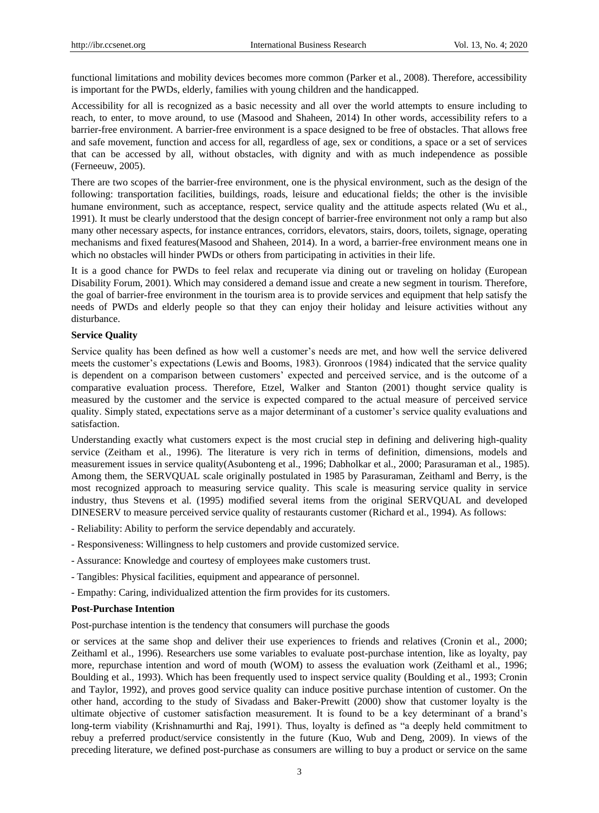functional limitations and mobility devices becomes more common (Parker et al., 2008). Therefore, accessibility is important for the PWDs, elderly, families with young children and the handicapped.

Accessibility for all is recognized as a basic necessity and all over the world attempts to ensure including to reach, to enter, to move around, to use (Masood and Shaheen, 2014) In other words, accessibility refers to a barrier-free environment. A barrier-free environment is a space designed to be free of obstacles. That allows free and safe movement, function and access for all, regardless of age, sex or conditions, a space or a set of services that can be accessed by all, without obstacles, with dignity and with as much independence as possible (Ferneeuw, 2005).

There are two scopes of the barrier-free environment, one is the physical environment, such as the design of the following: transportation facilities, buildings, roads, leisure and educational fields; the other is the invisible humane environment, such as acceptance, respect, service quality and the attitude aspects related (Wu et al., 1991). It must be clearly understood that the design concept of barrier-free environment not only a ramp but also many other necessary aspects, for instance entrances, corridors, elevators, stairs, doors, toilets, signage, operating mechanisms and fixed features(Masood and Shaheen, 2014). In a word, a barrier-free environment means one in which no obstacles will hinder PWDs or others from participating in activities in their life.

It is a good chance for PWDs to feel relax and recuperate via dining out or traveling on holiday (European Disability Forum, 2001). Which may considered a demand issue and create a new segment in tourism. Therefore, the goal of barrier-free environment in the tourism area is to provide services and equipment that help satisfy the needs of PWDs and elderly people so that they can enjoy their holiday and leisure activities without any disturbance.

#### **Service Quality**

Service quality has been defined as how well a customer's needs are met, and how well the service delivered meets the customer's expectations (Lewis and Booms, 1983). Gronroos (1984) indicated that the service quality is dependent on a comparison between customers' expected and perceived service, and is the outcome of a comparative evaluation process. Therefore, Etzel, Walker and Stanton (2001) thought service quality is measured by the customer and the service is expected compared to the actual measure of perceived service quality. Simply stated, expectations serve as a major determinant of a customer's service quality evaluations and satisfaction.

Understanding exactly what customers expect is the most crucial step in defining and delivering high-quality service (Zeitham et al., 1996). The literature is very rich in terms of definition, dimensions, models and measurement issues in service quality(Asubonteng et al., 1996; Dabholkar et al., 2000; Parasuraman et al., 1985). Among them, the SERVQUAL scale originally postulated in 1985 by Parasuraman, Zeithaml and Berry, is the most recognized approach to measuring service quality. This scale is measuring service quality in service industry, thus Stevens et al. (1995) modified several items from the original SERVQUAL and developed DINESERV to measure perceived service quality of restaurants customer (Richard et al., 1994). As follows:

- Reliability: Ability to perform the service dependably and accurately.
- Responsiveness: Willingness to help customers and provide customized service.
- Assurance: Knowledge and courtesy of employees make customers trust.
- Tangibles: Physical facilities, equipment and appearance of personnel.
- Empathy: Caring, individualized attention the firm provides for its customers.

#### **Post-Purchase Intention**

Post-purchase intention is the tendency that consumers will purchase the goods

or services at the same shop and deliver their use experiences to friends and relatives (Cronin et al., 2000; Zeithaml et al., 1996). Researchers use some variables to evaluate post-purchase intention, like as loyalty, pay more, repurchase intention and word of mouth (WOM) to assess the evaluation work (Zeithaml et al., 1996; Boulding et al., 1993). Which has been frequently used to inspect service quality (Boulding et al., 1993; Cronin and Taylor, 1992), and proves good service quality can induce positive purchase intention of customer. On the other hand, according to the study of Sivadass and Baker-Prewitt (2000) show that customer loyalty is the ultimate objective of customer satisfaction measurement. It is found to be a key determinant of a brand's long-term viability (Krishnamurthi and Raj, 1991). Thus, loyalty is defined as "a deeply held commitment to rebuy a preferred product/service consistently in the future (Kuo, Wub and Deng, 2009). In views of the preceding literature, we defined post-purchase as consumers are willing to buy a product or service on the same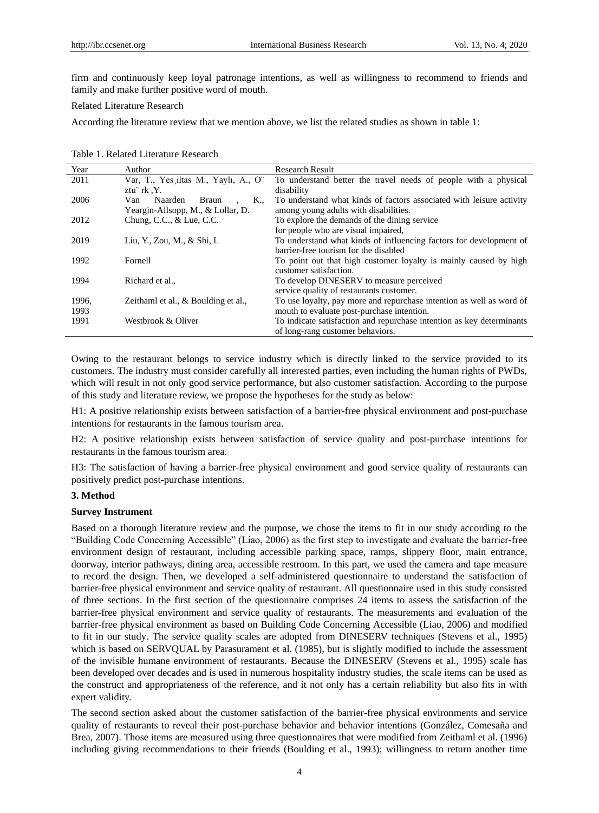firm and continuously keep loyal patronage intentions, as well as willingness to recommend to friends and family and make further positive word of mouth.

#### Related Literature Research

According the literature review that we mention above, we list the related studies as shown in table 1:

Table 1. Related Literature Research

| Year  | Author                                | <b>Research Result</b>                                                |
|-------|---------------------------------------|-----------------------------------------------------------------------|
| 2011  | Var, T., Yes iltas M., Yaylı, A., O"  | To understand better the travel needs of people with a physical       |
|       | ztu rk Y.                             | disability                                                            |
| 2006  | Naarden<br>K.,<br>Van<br><b>Braun</b> | To understand what kinds of factors associated with leisure activity  |
|       | Yeargin-Allsopp, M., & Lollar, D.     | among young adults with disabilities.                                 |
| 2012  | Chung, C.C., $&$ Lue, C.C.            | To explore the demands of the dining service                          |
|       |                                       | for people who are visual impaired,                                   |
| 2019  | Liu, Y., Zou, M., & Shi, L.           | To understand what kinds of influencing factors for development of    |
|       |                                       | barrier-free tourism for the disabled                                 |
| 1992  | Fornell                               | To point out that high customer loyalty is mainly caused by high      |
|       |                                       | customer satisfaction.                                                |
| 1994  | Richard et al.,                       | To develop DINESERV to measure perceived                              |
|       |                                       | service quality of restaurants customer.                              |
| 1996. | Zeithaml et al., & Boulding et al.,   | To use loyalty, pay more and repurchase intention as well as word of  |
| 1993  |                                       | mouth to evaluate post-purchase intention.                            |
| 1991  | Westbrook & Oliver                    | To indicate satisfaction and repurchase intention as key determinants |
|       |                                       | of long-rang customer behaviors.                                      |

Owing to the restaurant belongs to service industry which is directly linked to the service provided to its customers. The industry must consider carefully all interested parties, even including the human rights of PWDs, which will result in not only good service performance, but also customer satisfaction. According to the purpose of this study and literature review, we propose the hypotheses for the study as below:

H1: A positive relationship exists between satisfaction of a barrier-free physical environment and post-purchase intentions for restaurants in the famous tourism area.

H2: A positive relationship exists between satisfaction of service quality and post-purchase intentions for restaurants in the famous tourism area.

H3: The satisfaction of having a barrier-free physical environment and good service quality of restaurants can positively predict post-purchase intentions.

#### **3. Method**

#### **Survey Instrument**

Based on a thorough literature review and the purpose, we chose the items to fit in our study according to the "Building Code Concerning Accessible" (Liao, 2006) as the first step to investigate and evaluate the barrier-free environment design of restaurant, including accessible parking space, ramps, slippery floor, main entrance, doorway, interior pathways, dining area, accessible restroom. In this part, we used the camera and tape measure to record the design. Then, we developed a self-administered questionnaire to understand the satisfaction of barrier-free physical environment and service quality of restaurant. All questionnaire used in this study consisted of three sections. In the first section of the questionnaire comprises 24 items to assess the satisfaction of the barrier-free physical environment and service quality of restaurants. The measurements and evaluation of the barrier-free physical environment as based on Building Code Concerning Accessible (Liao, 2006) and modified to fit in our study. The service quality scales are adopted from DINESERV techniques (Stevens et al., 1995) which is based on SERVQUAL by Parasurament et al. (1985), but is slightly modified to include the assessment of the invisible humane environment of restaurants. Because the DINESERV (Stevens et al., 1995) scale has been developed over decades and is used in numerous hospitality industry studies, the scale items can be used as the construct and appropriateness of the reference, and it not only has a certain reliability but also fits in with expert validity.

The second section asked about the customer satisfaction of the barrier-free physical environments and service quality of restaurants to reveal their post-purchase behavior and behavior intentions (González, Comesaña and Brea, 2007). Those items are measured using three questionnaires that were modified from Zeithaml et al. (1996) including giving recommendations to their friends (Boulding et al., 1993); willingness to return another time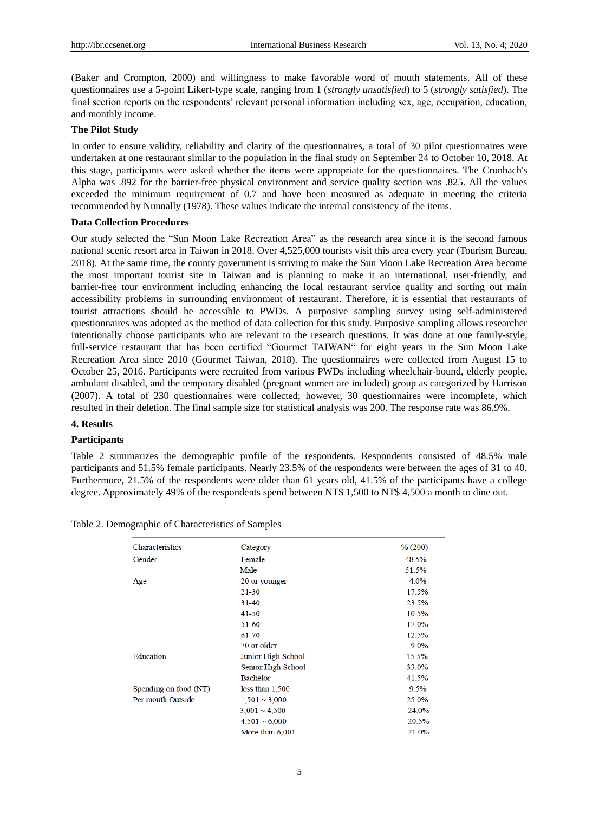(Baker and Crompton, 2000) and willingness to make favorable word of mouth statements. All of these questionnaires use a 5-point Likert-type scale, ranging from 1 (*strongly unsatisfied*) to 5 (*strongly satisfied*). The final section reports on the respondents' relevant personal information including sex, age, occupation, education, and monthly income.

#### **The Pilot Study**

In order to ensure validity, reliability and clarity of the questionnaires, a total of 30 pilot questionnaires were undertaken at one restaurant similar to the population in the final study on September 24 to October 10, 2018. At this stage, participants were asked whether the items were appropriate for the questionnaires. The Cronbach's Alpha was .892 for the barrier-free physical environment and service quality section was .825. All the values exceeded the minimum requirement of 0.7 and have been measured as adequate in meeting the criteria recommended by Nunnally (1978). These values indicate the internal consistency of the items.

## **Data Collection Procedures**

Our study selected the "Sun Moon Lake Recreation Area" as the research area since it is the second famous national scenic resort area in Taiwan in 2018. Over 4,525,000 tourists visit this area every year (Tourism Bureau, 2018). At the same time, the county government is striving to make the Sun Moon Lake Recreation Area become the most important tourist site in Taiwan and is planning to make it an international, user-friendly, and barrier-free tour environment including enhancing the local restaurant service quality and sorting out main accessibility problems in surrounding environment of restaurant. Therefore, it is essential that restaurants of tourist attractions should be accessible to PWDs. A purposive sampling survey using self-administered questionnaires was adopted as the method of data collection for this study. Purposive sampling allows researcher intentionally choose participants who are relevant to the research questions. It was done at one family-style, full-service restaurant that has been certified "Gourmet TAIWAN" for eight years in the Sun Moon Lake Recreation Area since 2010 (Gourmet Taiwan, 2018). The questionnaires were collected from August 15 to October 25, 2016. Participants were recruited from various PWDs including wheelchair-bound, elderly people, ambulant disabled, and the temporary disabled (pregnant women are included) group as categorized by Harrison (2007). A total of 230 questionnaires were collected; however, 30 questionnaires were incomplete, which resulted in their deletion. The final sample size for statistical analysis was 200. The response rate was 86.9%.

## **4. Results**

## **Participants**

Table 2 summarizes the demographic profile of the respondents. Respondents consisted of 48.5% male participants and 51.5% female participants. Nearly 23.5% of the respondents were between the ages of 31 to 40. Furthermore, 21.5% of the respondents were older than 61 years old, 41.5% of the participants have a college degree. Approximately 49% of the respondents spend between NT\$ 1,500 to NT\$ 4,500 a month to dine out.

| Characteristics       | Category           | % (200) |
|-----------------------|--------------------|---------|
| Gender                | Female             | 48.5%   |
|                       | Male               | 51.5%   |
| Age                   | 20 or younger      | 4.0%    |
|                       | 21-30              | 17.5%   |
|                       | $31 - 40$          | 23.5%   |
|                       | 41-50              | 10.5%   |
|                       | 51-60              | 17.0%   |
|                       | 61-70              | 12.5%   |
|                       | 70 or older        | 9.0%    |
| Education             | Junior High School | 15.5%   |
|                       | Senior High School | 33.0%   |
|                       | <b>Bachelor</b>    | 41.5%   |
| Spending on food (NT) | less than 1,500    | 9.5%    |
| Per mouth Outside     | $1,501 \sim 3,000$ | 25.0%   |
|                       | $3,001 \sim 4,500$ | 24.0%   |
|                       | $4,501 \sim 6,000$ | 20.5%   |
|                       | More than 6,001    | 21.0%   |

Table 2. Demographic of Characteristics of Samples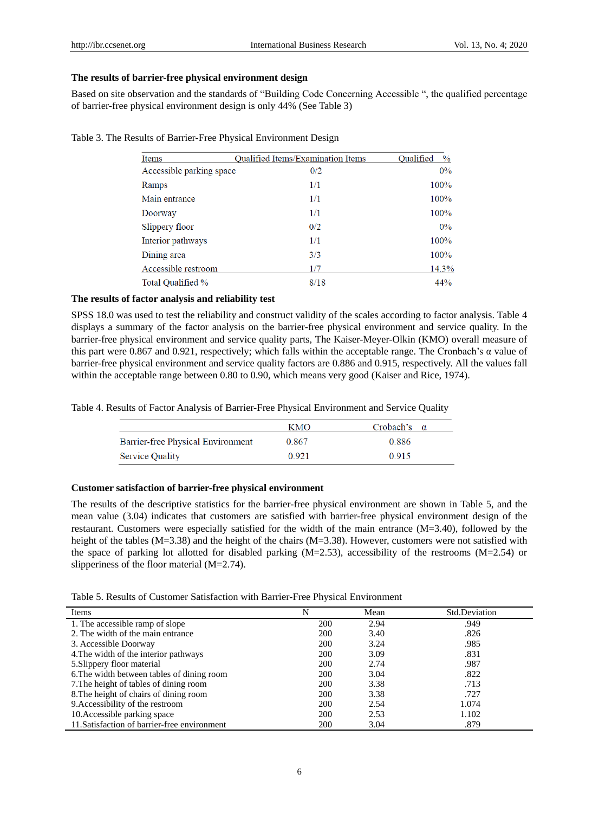## **The results of barrier-free physical environment design**

Based on site observation and the standards of "Building Code Concerning Accessible ", the qualified percentage of barrier-free physical environment design is only 44% (See Table 3)

| Items                    | <b>Oualified Items/Examination Items</b> | Oualified<br>$\frac{0}{0}$ |
|--------------------------|------------------------------------------|----------------------------|
| Accessible parking space | 0/2                                      | $0\%$                      |
| Ramps                    | 1/1                                      | 100%                       |
| Main entrance            | 1/1                                      | 100%                       |
| Doorway                  | 1/1                                      | 100%                       |
| Slippery floor           | 0/2                                      | $0\%$                      |
| Interior pathways        | 1/1                                      | 100%                       |
| Dining area              | 3/3                                      | 100%                       |
| Accessible restroom      | 1/7                                      | 14.3%                      |
| Total Oualified %        | 8/18                                     | 44%                        |

Table 3. The Results of Barrier-Free Physical Environment Design

## **The results of factor analysis and reliability test**

SPSS 18.0 was used to test the reliability and construct validity of the scales according to factor analysis. Table 4 displays a summary of the factor analysis on the barrier-free physical environment and service quality. In the barrier-free physical environment and service quality parts, The Kaiser-Meyer-Olkin (KMO) overall measure of this part were 0.867 and 0.921, respectively; which falls within the acceptable range. The Cronbach's α value of barrier-free physical environment and service quality factors are 0.886 and 0.915, respectively. All the values fall within the acceptable range between 0.80 to 0.90, which means very good (Kaiser and Rice, 1974).

Table 4. Results of Factor Analysis of Barrier-Free Physical Environment and Service Quality

|                                   | KMO   | Crobach's |
|-----------------------------------|-------|-----------|
| Barrier-free Physical Environment | 0.867 | 0.886     |
| <b>Service Quality</b>            | 0.921 | 0.915     |

#### **Customer satisfaction of barrier-free physical environment**

The results of the descriptive statistics for the barrier-free physical environment are shown in Table 5, and the mean value (3.04) indicates that customers are satisfied with barrier-free physical environment design of the restaurant. Customers were especially satisfied for the width of the main entrance (M=3.40), followed by the height of the tables (M=3.38) and the height of the chairs (M=3.38). However, customers were not satisfied with the space of parking lot allotted for disabled parking (M=2.53), accessibility of the restrooms (M=2.54) or slipperiness of the floor material (M=2.74).

Table 5. Results of Customer Satisfaction with Barrier-Free Physical Environment

| Items                                        | N          | Mean | Std.Deviation |
|----------------------------------------------|------------|------|---------------|
| 1. The accessible ramp of slope              | 200        | 2.94 | .949          |
| 2. The width of the main entrance            | 200        | 3.40 | .826          |
| 3. Accessible Doorway                        | 200        | 3.24 | .985          |
| 4. The width of the interior pathways        | 200        | 3.09 | .831          |
| 5. Slippery floor material                   | 200        | 2.74 | .987          |
| 6. The width between tables of dining room   | <b>200</b> | 3.04 | .822          |
| 7. The height of tables of dining room       | 200        | 3.38 | .713          |
| 8. The height of chairs of dining room       | 200        | 3.38 | .727          |
| 9. Accessibility of the restroom             | 200        | 2.54 | 1.074         |
| 10. Accessible parking space                 | 200        | 2.53 | 1.102         |
| 11. Satisfaction of barrier-free environment | 200        | 3.04 | .879          |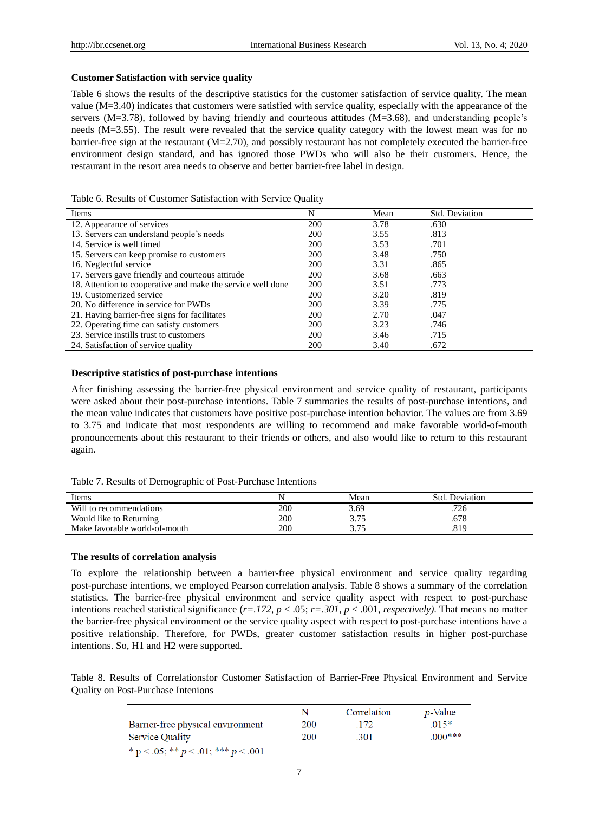#### **Customer Satisfaction with service quality**

Table 6 shows the results of the descriptive statistics for the customer satisfaction of service quality. The mean value (M=3.40) indicates that customers were satisfied with service quality, especially with the appearance of the servers (M=3.78), followed by having friendly and courteous attitudes (M=3.68), and understanding people's needs (M=3.55). The result were revealed that the service quality category with the lowest mean was for no barrier-free sign at the restaurant (M=2.70), and possibly restaurant has not completely executed the barrier-free environment design standard, and has ignored those PWDs who will also be their customers. Hence, the restaurant in the resort area needs to observe and better barrier-free label in design.

#### Table 6. Results of Customer Satisfaction with Service Quality

| Items                                                       | N   | Mean | Std. Deviation |  |
|-------------------------------------------------------------|-----|------|----------------|--|
| 12. Appearance of services                                  | 200 | 3.78 | .630           |  |
| 13. Servers can understand people's needs                   | 200 | 3.55 | .813           |  |
| 14. Service is well timed                                   | 200 | 3.53 | .701           |  |
| 15. Servers can keep promise to customers                   | 200 | 3.48 | .750           |  |
| 16. Neglectful service                                      | 200 | 3.31 | .865           |  |
| 17. Servers gave friendly and courteous attitude            | 200 | 3.68 | .663           |  |
| 18. Attention to cooperative and make the service well done | 200 | 3.51 | .773           |  |
| 19. Customerized service                                    | 200 | 3.20 | .819           |  |
| 20. No difference in service for PWDs                       | 200 | 3.39 | .775           |  |
| 21. Having barrier-free signs for facilitates               | 200 | 2.70 | .047           |  |
| 22. Operating time can satisfy customers                    | 200 | 3.23 | .746           |  |
| 23. Service instills trust to customers                     | 200 | 3.46 | .715           |  |
| 24. Satisfaction of service quality                         | 200 | 3.40 | .672           |  |

### **Descriptive statistics of post-purchase intentions**

After finishing assessing the barrier-free physical environment and service quality of restaurant, participants were asked about their post-purchase intentions. Table 7 summaries the results of post-purchase intentions, and the mean value indicates that customers have positive post-purchase intention behavior. The values are from 3.69 to 3.75 and indicate that most respondents are willing to recommend and make favorable world-of-mouth pronouncements about this restaurant to their friends or others, and also would like to return to this restaurant again.

|  |  |  |  | Table 7. Results of Demographic of Post-Purchase Intentions |  |
|--|--|--|--|-------------------------------------------------------------|--|
|--|--|--|--|-------------------------------------------------------------|--|

| Items                         |     | Mean | Std. Deviation |
|-------------------------------|-----|------|----------------|
| Will to recommendations       | 200 | 3.69 | .726           |
| Would like to Returning       | 200 | 3.75 | .678           |
| Make favorable world-of-mouth | 200 | 3.75 | .819           |

#### **The results of correlation analysis**

To explore the relationship between a barrier-free physical environment and service quality regarding post-purchase intentions, we employed Pearson correlation analysis. Table 8 shows a summary of the correlation statistics. The barrier-free physical environment and service quality aspect with respect to post-purchase intentions reached statistical significance (*r=.172, p* < .05; *r=.301, p* < .001, *respectively)*. That means no matter the barrier-free physical environment or the service quality aspect with respect to post-purchase intentions have a positive relationship. Therefore, for PWDs, greater customer satisfaction results in higher post-purchase intentions. So, H1 and H2 were supported.

Table 8. Results of Correlationsfor Customer Satisfaction of Barrier-Free Physical Environment and Service Quality on Post-Purchase Intenions

|                                                             |     | Correlation | <i>p</i> -Value |
|-------------------------------------------------------------|-----|-------------|-----------------|
| Barrier-free physical environment                           | 200 | -172        | $015*$          |
| <b>Service Quality</b>                                      | 200 | .301        | $000***$        |
| والمواصلة الأنتكاث والمواصلة الأركب والمراجع<br>$\sim$ 0.01 |     |             |                 |

\* p < .05; \*\* p < .01; \*\*\* p < .001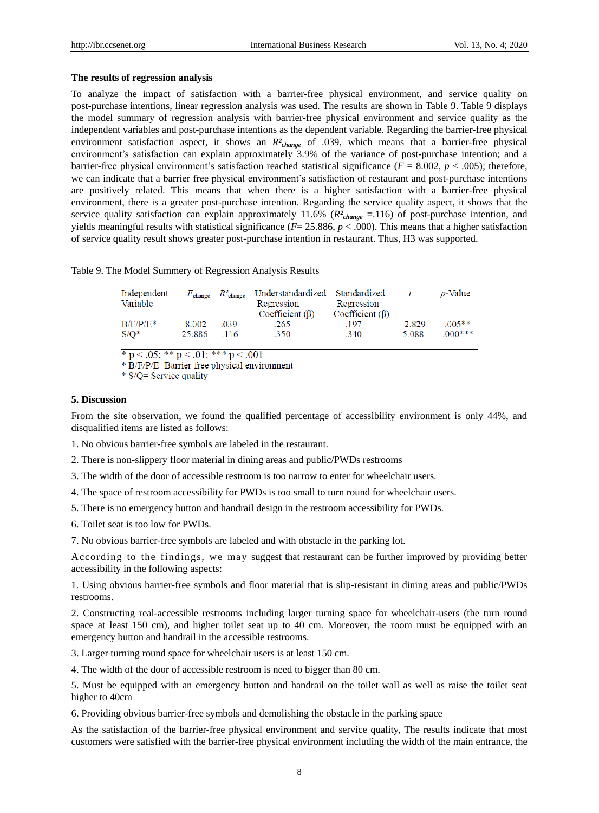## **The results of regression analysis**

To analyze the impact of satisfaction with a barrier-free physical environment, and service quality on post-purchase intentions, linear regression analysis was used. The results are shown in Table 9. Table 9 displays the model summary of regression analysis with barrier-free physical environment and service quality as the independent variables and post-purchase intentions as the dependent variable. Regarding the barrier-free physical environment satisfaction aspect, it shows an *R*<sup>2</sup><sub>*ihange*</sub> of .039, which means that a barrier-free physical environment's satisfaction can explain approximately 3.9% of the variance of post-purchase intention; and a barrier-free physical environment's satisfaction reached statistical significance  $(F = 8.002, p < .005)$ ; therefore, we can indicate that a barrier free physical environment's satisfaction of restaurant and post-purchase intentions are positively related. This means that when there is a higher satisfaction with a barrier-free physical environment, there is a greater post-purchase intention. Regarding the service quality aspect, it shows that the service quality satisfaction can explain approximately 11.6% (*R²change =*.116) of post-purchase intention, and yields meaningful results with statistical significance ( $F = 25.886$ ,  $p < .000$ ). This means that a higher satisfaction of service quality result shows greater post-purchase intention in restaurant. Thus, H3 was supported.

Table 9. The Model Summery of Regression Analysis Results

| Independent<br>Variable | $F_{\tt change}$ | $R^2$ change | Understandardized<br>Regression | Standardized<br>Regression |       | <i>p</i> -Value |
|-------------------------|------------------|--------------|---------------------------------|----------------------------|-------|-----------------|
|                         |                  |              | Coefficient $(\beta)$           | Coefficient $(\beta)$      |       |                 |
| $B/F/P/E^*$             | 8.002            | .039         | 265                             | 197                        | 2.829 | $.005**$        |
| $S/O^*$                 | 25.886           | 116          | .350                            | .340                       | 5.088 | $000$ ***       |

\*  $p < .05$ ; \*\*  $p < .01$ ; \*\*\*  $p < .001$ 

\* B/F/P/E=Barrier-free physical environment

\* S/Q= Service quality

# **5. Discussion**

From the site observation, we found the qualified percentage of accessibility environment is only 44%, and disqualified items are listed as follows:

1. No obvious barrier-free symbols are labeled in the restaurant.

- 2. There is non-slippery floor material in dining areas and public/PWDs restrooms
- 3. The width of the door of accessible restroom is too narrow to enter for wheelchair users.
- 4. The space of restroom accessibility for PWDs is too small to turn round for wheelchair users.
- 5. There is no emergency button and handrail design in the restroom accessibility for PWDs.
- 6. Toilet seat is too low for PWDs.
- 7. No obvious barrier-free symbols are labeled and with obstacle in the parking lot.

According to the findings, we may suggest that restaurant can be further improved by providing better accessibility in the following aspects:

1. Using obvious barrier-free symbols and floor material that is slip-resistant in dining areas and public/PWDs restrooms.

2. Constructing real-accessible restrooms including larger turning space for wheelchair-users (the turn round space at least 150 cm), and higher toilet seat up to 40 cm. Moreover, the room must be equipped with an emergency button and handrail in the accessible restrooms.

3. Larger turning round space for wheelchair users is at least 150 cm.

4. The width of the door of accessible restroom is need to bigger than 80 cm.

5. Must be equipped with an emergency button and handrail on the toilet wall as well as raise the toilet seat higher to 40cm

6. Providing obvious barrier-free symbols and demolishing the obstacle in the parking space

As the satisfaction of the barrier-free physical environment and service quality, The results indicate that most customers were satisfied with the barrier-free physical environment including the width of the main entrance, the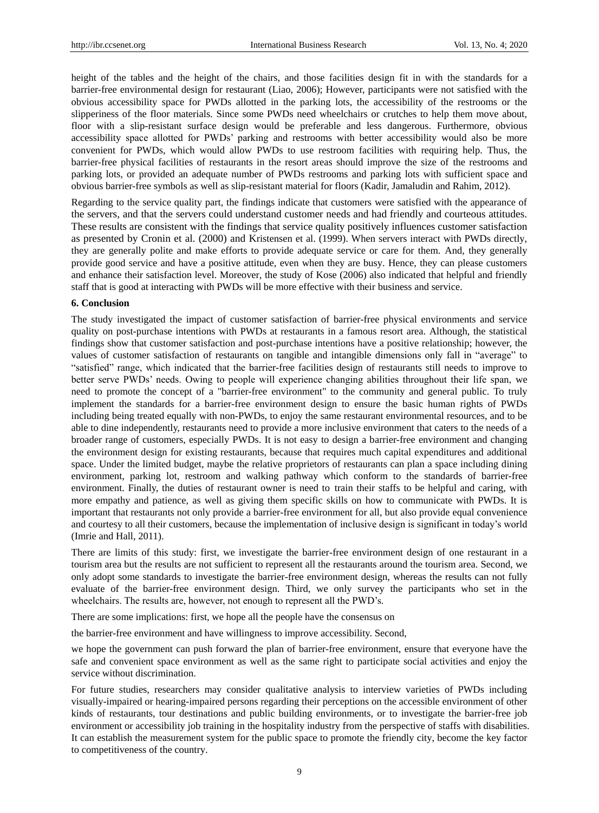height of the tables and the height of the chairs, and those facilities design fit in with the standards for a barrier-free environmental design for restaurant (Liao, 2006); However, participants were not satisfied with the obvious accessibility space for PWDs allotted in the parking lots, the accessibility of the restrooms or the slipperiness of the floor materials. Since some PWDs need wheelchairs or crutches to help them move about, floor with a slip-resistant surface design would be preferable and less dangerous. Furthermore, obvious accessibility space allotted for PWDs' parking and restrooms with better accessibility would also be more convenient for PWDs, which would allow PWDs to use restroom facilities with requiring help. Thus, the barrier-free physical facilities of restaurants in the resort areas should improve the size of the restrooms and parking lots, or provided an adequate number of PWDs restrooms and parking lots with sufficient space and obvious barrier-free symbols as well as slip-resistant material for floors (Kadir, Jamaludin and Rahim, 2012).

Regarding to the service quality part, the findings indicate that customers were satisfied with the appearance of the servers, and that the servers could understand customer needs and had friendly and courteous attitudes. These results are consistent with the findings that service quality positively influences customer satisfaction as presented by Cronin et al. (2000) and Kristensen et al. (1999). When servers interact with PWDs directly, they are generally polite and make efforts to provide adequate service or care for them. And, they generally provide good service and have a positive attitude, even when they are busy. Hence, they can please customers and enhance their satisfaction level. Moreover, the study of Kose (2006) also indicated that helpful and friendly staff that is good at interacting with PWDs will be more effective with their business and service.

#### **6. Conclusion**

The study investigated the impact of customer satisfaction of barrier-free physical environments and service quality on post-purchase intentions with PWDs at restaurants in a famous resort area. Although, the statistical findings show that customer satisfaction and post-purchase intentions have a positive relationship; however, the values of customer satisfaction of restaurants on tangible and intangible dimensions only fall in "average" to "satisfied" range, which indicated that the barrier-free facilities design of restaurants still needs to improve to better serve PWDs' needs. Owing to people will experience changing abilities throughout their life span, we need to promote the concept of a "barrier-free environment" to the community and general public. To truly implement the standards for a barrier-free environment design to ensure the basic human rights of PWDs including being treated equally with non-PWDs, to enjoy the same restaurant environmental resources, and to be able to dine independently, restaurants need to provide a more inclusive environment that caters to the needs of a broader range of customers, especially PWDs. It is not easy to design a barrier-free environment and changing the environment design for existing restaurants, because that requires much capital expenditures and additional space. Under the limited budget, maybe the relative proprietors of restaurants can plan a space including dining environment, parking lot, restroom and walking pathway which conform to the standards of barrier-free environment. Finally, the duties of restaurant owner is need to train their staffs to be helpful and caring, with more empathy and patience, as well as giving them specific skills on how to communicate with PWDs. It is important that restaurants not only provide a barrier-free environment for all, but also provide equal convenience and courtesy to all their customers, because the implementation of inclusive design is significant in today's world (Imrie and Hall, 2011).

There are limits of this study: first, we investigate the barrier-free environment design of one restaurant in a tourism area but the results are not sufficient to represent all the restaurants around the tourism area. Second, we only adopt some standards to investigate the barrier-free environment design, whereas the results can not fully evaluate of the barrier-free environment design. Third, we only survey the participants who set in the wheelchairs. The results are, however, not enough to represent all the PWD's.

There are some implications: first, we hope all the people have the consensus on

the barrier-free environment and have willingness to improve accessibility. Second,

we hope the government can push forward the plan of barrier-free environment, ensure that everyone have the safe and convenient space environment as well as the same right to participate social activities and enjoy the service without discrimination.

For future studies, researchers may consider qualitative analysis to interview varieties of PWDs including visually-impaired or hearing-impaired persons regarding their perceptions on the accessible environment of other kinds of restaurants, tour destinations and public building environments, or to investigate the barrier-free job environment or accessibility job training in the hospitality industry from the perspective of staffs with disabilities. It can establish the measurement system for the public space to promote the friendly city, become the key factor to competitiveness of the country.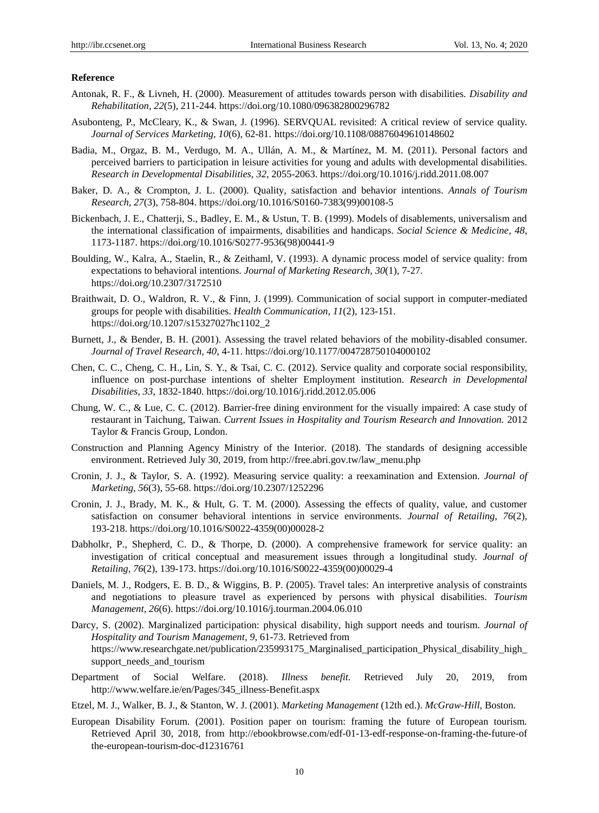## **Reference**

- Antonak, R. F., & Livneh, H. (2000). Measurement of attitudes towards person with disabilities. *Disability and Rehabilitation, 22*(5), 211-244.<https://doi.org/10.1080/096382800296782>
- Asubonteng, P., McCleary, K., & Swan, J. (1996). SERVQUAL revisited: A critical review of service quality. *Journal of Services Marketing, 10*(6), 62-81.<https://doi.org/10.1108/08876049610148602>
- Badia, M., Orgaz, B. M., Verdugo, M. A., Ullán, A. M., & Martínez, M. M. (2011). Personal factors and perceived barriers to participation in leisure activities for young and adults with developmental disabilities. *Research in Developmental Disabilities, 32*, 2055-2063.<https://doi.org/10.1016/j.ridd.2011.08.007>
- Baker, D. A., & Crompton, J. L. (2000). Quality, satisfaction and behavior intentions. *Annals of Tourism Research, 27*(3), 758-804. [https://doi.org/10.1016/S0160-7383\(99\)00108-5](https://doi.org/10.1016/S0160-7383(99)00108-5)
- Bickenbach, J. E., Chatterji, S., Badley, E. M., & Ustun, T. B. (1999). Models of disablements, universalism and the international classification of impairments, disabilities and handicaps. *Social Science & Medicine, 48*, 1173-1187. [https://doi.org/10.1016/S0277-9536\(98\)00441-9](https://doi.org/10.1016/S0277-9536(98)00441-9)
- Boulding, W., Kalra, A., Staelin, R., & Zeithaml, V. (1993). A dynamic process model of service quality: from expectations to behavioral intentions. *Journal of Marketing Research, 30*(1), 7-27. <https://doi.org/10.2307/3172510>
- Braithwait, D. O., Waldron, R. V., & Finn, J. (1999). Communication of social support in computer-mediated groups for people with disabilities. *Health Communication*, *11*(2), 123-151. [https://doi.org/10.1207/s15327027hc1102\\_2](https://doi.org/10.1207/s15327027hc1102_2)
- Burnett, J., & Bender, B. H. (2001). Assessing the travel related behaviors of the mobility-disabled consumer. *Journal of Travel Research, 40*, 4-11. <https://doi.org/10.1177/004728750104000102>
- Chen, C. C., Cheng, C. H., Lin, S. Y., & Tsai, C. C. (2012). Service quality and corporate social responsibility, influence on post-purchase intentions of shelter Employment institution. *Research in Developmental Disabilities, 33*, 1832-1840. <https://doi.org/10.1016/j.ridd.2012.05.006>
- Chung, W. C., & Lue, C. C. (2012). Barrier-free dining environment for the visually impaired: A case study of restaurant in Taichung, Taiwan. *Current Issues in Hospitality and Tourism Research and Innovation.* 2012 Taylor & Francis Group, London.
- Construction and Planning Agency Ministry of the Interior. (2018). The standards of designing accessible environment. Retrieved July 30, 2019, from http://free.abri.gov.tw/law\_menu.php
- Cronin, J. J., & Taylor, S. A. (1992). Measuring service quality: a reexamination and Extension. *Journal of Marketing, 56*(3), 55-68. <https://doi.org/10.2307/1252296>
- Cronin, J. J., Brady, M. K., & Hult, G. T. M. (2000). Assessing the effects of quality, value, and customer satisfaction on consumer behavioral intentions in service environments. *Journal of Retailing, 76*(2), 193-218. [https://doi.org/10.1016/S0022-4359\(00\)00028-2](https://doi.org/10.1016/S0022-4359(00)00028-2)
- Dabholkr, P., Shepherd, C. D., & Thorpe, D. (2000). A comprehensive framework for service quality: an investigation of critical conceptual and measurement issues through a longitudinal study. *Journal of Retailing, 76*(2), 139-173[. https://doi.org/10.1016/S0022-4359\(00\)00029-4](https://doi.org/10.1016/S0022-4359(00)00029-4)
- Daniels, M. J., Rodgers, E. B. D., & Wiggins, B. P. (2005). Travel tales: An interpretive analysis of constraints and negotiations to pleasure travel as experienced by persons with physical disabilities. *Tourism Management, 26*(6).<https://doi.org/10.1016/j.tourman.2004.06.010>
- Darcy, S. (2002). Marginalized participation: physical disability, high support needs and tourism. *Journal of Hospitality and Tourism Management, 9*, 61-73. Retrieved from [https://www.researchgate.net/publication/235993175\\_Marginalised\\_participation\\_Physical\\_disability\\_high\\_](https://www.researchgate.net/publication/235993175_Marginalised_participation_Physical_disability_high_support_needs_and_tourism) [support\\_needs\\_and\\_tourism](https://www.researchgate.net/publication/235993175_Marginalised_participation_Physical_disability_high_support_needs_and_tourism)
- Department of Social Welfare. (2018). *Illness benefit.* Retrieved July 20, 2019, from [http://www.welfare.ie/en/Pages/345\\_illness-Benefit.aspx](http://www.welfare.ie/en/Pages/345_illness-Benefit.aspx)
- Etzel, M. J., Walker, B. J., & Stanton, W. J. (2001). *Marketing Management* (12th ed.). *McGraw-Hill,* Boston.
- European Disability Forum. (2001). Position paper on tourism: framing the future of European tourism. Retrieved April 30, 2018, from [http://ebookbrowse.com/edf-01-13-edf-response-on-framing-the-future-of](http://ebookbrowse.com/edf-01-13-edf-response-on-framing-the-future-of%20the-european-tourism-doc-d12316761)  [the-european-tourism-doc-d12316761](http://ebookbrowse.com/edf-01-13-edf-response-on-framing-the-future-of%20the-european-tourism-doc-d12316761)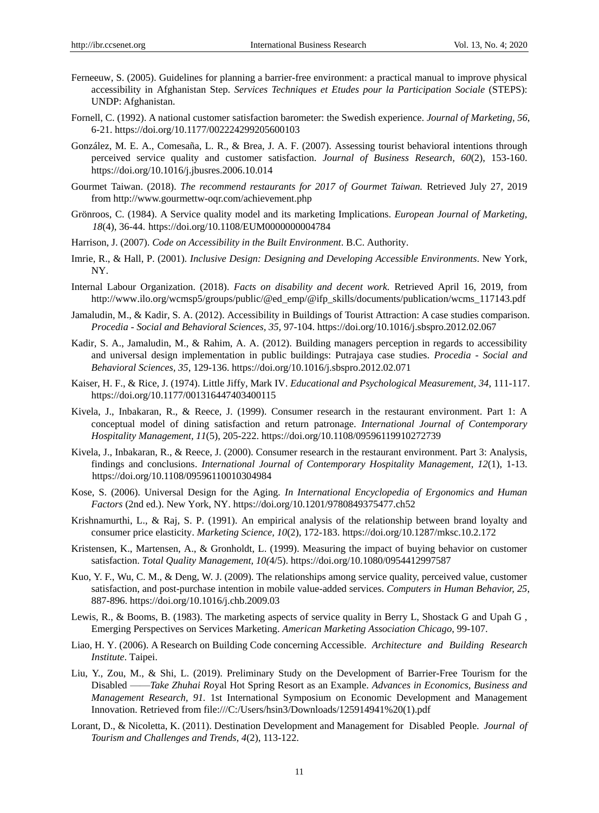- Ferneeuw, S. (2005). Guidelines for planning a barrier-free environment: a practical manual to improve physical accessibility in Afghanistan Step. *Services Techniques et Etudes pour la Participation Sociale* (STEPS): UNDP: Afghanistan.
- Fornell, C. (1992). A national customer satisfaction barometer: the Swedish experience. *Journal of Marketing, 56*, 6-21.<https://doi.org/10.1177/002224299205600103>
- González, M. E. A., Comesaña, L. R., & Brea, J. A. F. (2007). Assessing tourist behavioral intentions through perceived service quality and customer satisfaction. *Journal of Business Research, 60*(2), 153-160. <https://doi.org/10.1016/j.jbusres.2006.10.014>
- Gourmet Taiwan. (2018). *The recommend restaurants for 2017 of Gourmet Taiwan.* Retrieved July 27, 2019 from [http://www.gourmettw-oqr.com/achievement.](http://www.gourmettw-oqr.com/achievement)php
- [Grönroos,](http://www.emeraldinsight.com/author/Gr%C3%B6nroos%2C+Christian) C. (1984). A Service quality model and its marketing Implications. *European Journal of Marketing, 18*(4), 36-44. <https://doi.org/10.1108/EUM0000000004784>
- Harrison, J. (2007). *Code on Accessibility in the Built Environment*. B.C. Authority.
- Imrie, R., & Hall, P. (2001). *Inclusive Design: Designing and Developing Accessible Environments*. New York, NY.
- Internal Labour Organization. (2018). *Facts on disability and decent work.* Retrieved April 16, 2019, from http://www.ilo.org/wcmsp5/groups/public/@ed\_emp/@ifp\_skills/documents/publication/wcms\_117143.pdf
- Jamaludin, M., & Kadir, S. A. (2012). Accessibility in Buildings of Tourist Attraction: A case studies comparison. *Procedia - Social and Behavioral Sciences, 35,* 97-104. <https://doi.org/10.1016/j.sbspro.2012.02.067>
- Kadir, S. A., Jamaludin, M., & Rahim, A. A. (2012). Building managers perception in regards to accessibility and universal design implementation in public buildings: Putrajaya case studies. *Procedia - Social and Behavioral Sciences, 35*, 129-136. https://doi.org/10.1016/j.sbspro.2012.02.071
- Kaiser, H. F., & Rice, J. (1974). Little Jiffy, Mark IV. *Educational and Psychological Measurement, 34*, 111-117. <https://doi.org/10.1177/001316447403400115>
- Kivela, J., Inbakaran, R., & Reece, J. (1999). Consumer research in the restaurant environment. Part 1: A conceptual model of dining satisfaction and return patronage. *International Journal of Contemporary Hospitality Management, 11*(5), 205-222.<https://doi.org/10.1108/09596119910272739>
- Kivela, J., Inbakaran, R., & Reece, J. (2000). Consumer research in the restaurant environment. Part 3: Analysis, findings and conclusions. *International Journal of Contemporary Hospitality Management, 12*(1), 1-13. <https://doi.org/10.1108/09596110010304984>
- Kose, S. (2006). Universal Design for the Aging*. In International Encyclopedia of Ergonomics and Human Factors* (2nd ed.). New York, NY.<https://doi.org/10.1201/9780849375477.ch52>
- Krishnamurthi, L., & Raj, S. P. (1991). An empirical analysis of the relationship between brand loyalty and consumer price elasticity. *Marketing Science, 10*(2), 172-183. <https://doi.org/10.1287/mksc.10.2.172>
- Kristensen, K., Martensen, A., & Gronholdt, L. (1999). Measuring the impact of buying behavior on customer satisfaction. *Total Quality Management, 10(*4/5).<https://doi.org/10.1080/0954412997587>
- Kuo, Y. F., Wu, C. M., & Deng, W. J. (2009). The relationships among service quality, perceived value, customer satisfaction, and post-purchase intention in mobile value-added services. *Computers in Human Behavior, 25*, 887-896.<https://doi.org/10.1016/j.chb.2009.03>
- Lewis, R., & Booms, B. (1983). The marketing aspects of service quality in Berry L, Shostack G and Upah G , Emerging Perspectives on Services Marketing. *American Marketing Association Chicago*, 99-107.
- Liao, H. Y. (2006). A Research on Building Code concerning Accessible. *Architecture and Building Research Institute*. Taipei.
- Liu, Y., Zou, M., & Shi, L. (2019). Preliminary Study on the Development of Barrier-Free Tourism for the Disabled ——*Take Zhuhai Ro*yal Hot Spring Resort as an Example. *Advances in Economics, Business and Management Research, 91.* 1st International Symposium on Economic Development and Management Innovation. Retrieved from [file:///C:/Users/hsin3/Downloads/125914941%20\(1\).pdf](file:///C:/Users/hsin3/Downloads/125914941%20(1).pdf)
- Lorant, D., & Nicoletta, K. (2011). Destination Development and Management for Disabled People. *Journal of Tourism and Challenges and Trends, 4*(2), 113-122.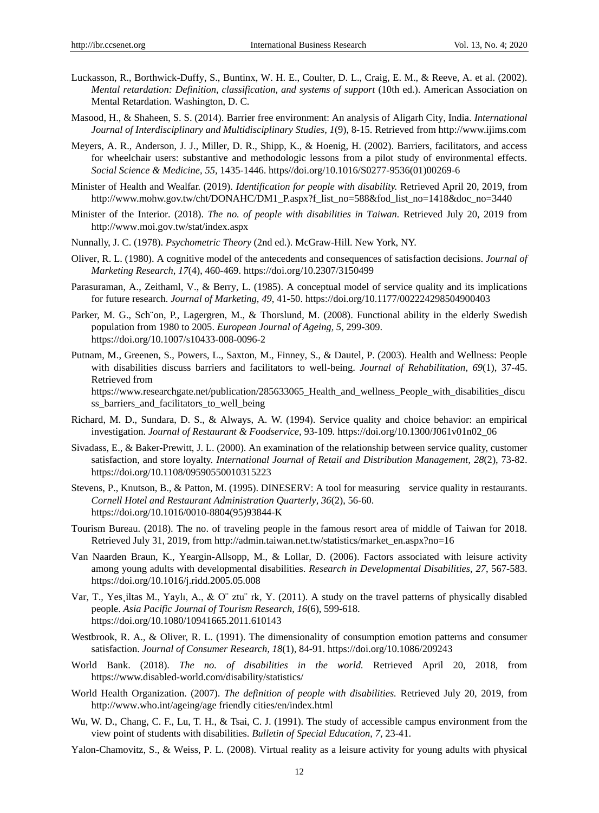- Luckasson, R., Borthwick-Duffy, S., Buntinx, W. H. E., Coulter, D. L., Craig, E. M., & Reeve, A. et al. (2002). *Mental retardation: Definition, classification, and systems of support* (10th ed.). American Association on Mental Retardation. Washington, D. C.
- Masood, H., & Shaheen, S. S. (2014). Barrier free environment: An analysis of Aligarh City, India. *International Journal of Interdisciplinary and Multidisciplinary Studies, 1*(9), 8-15. Retrieved from http://www.ijims.com
- Meyers, A. R., Anderson, J. J., Miller, D. R., Shipp, K., & Hoenig, H. (2002). Barriers, facilitators, and access for wheelchair users: substantive and methodologic lessons from a pilot study of environmental effects. *Social Science & Medicine, 55,* 1435-1446. https//doi.org[/10.1016/S0277-9536\(01\)00269-6](https://www.researchgate.net/deref/http%3A%2F%2Fdx.doi.org%2F10.1016%2FS0277-9536(01)00269-6)
- Minister of Health and Wealfar. (2019). *Identification for people with disability.* Retrieved April 20, 2019, from [http://www.mohw.gov.tw/cht/DONAHC/DM1\\_P.aspx?f\\_list\\_no=588&fod\\_list\\_no=1418&doc\\_no=3440](http://www.mohw.gov.tw/cht/DONAHC/DM1_P.aspx?f_list_no=588&fod_list_no=1418&doc_no=3440)
- Minister of the Interior. (2018). *The no. of people with disabilities in Taiwan.* Retrieved July 20, 2019 from <http://www.moi.gov.tw/stat/index.aspx>
- Nunnally, J. C. (1978). *Psychometric Theory* (2nd ed.). McGraw-Hill. New York, NY.
- Oliver, R. L. (1980). A cognitive model of the antecedents and consequences of satisfaction decisions. *Journal of Marketing Research, 17*(4), 460-469. <https://doi.org/10.2307/3150499>
- Parasuraman, A., Zeithaml, V., & Berry, L. (1985). A conceptual model of service quality and its implications for future research. *Journal of Marketing, 49*, 41-50[. https://doi.org/10.1177/002224298504900403](https://doi.org/10.1177/002224298504900403)
- Parker, M. G., Sch ön, P., Lagergren, M., & Thorslund, M. (2008). Functional ability in the elderly Swedish population from 1980 to 2005. *European Journal of Ageing, 5,* 299-309. https://doi.org[/10.1007/s10433-008-0096-2](https://dx.doi.org/10.1007%2Fs10433-008-0096-2)
- Putnam, M., Greenen, S., Powers, L., Saxton, M., Finney, S., & Dautel, P. (2003). Health and Wellness: People with disabilities discuss barriers and facilitators to well-being. *Journal of Rehabilitation, 69*(1), 37-45. Retrieved from [https://www.researchgate.net/publication/285633065\\_Health\\_and\\_wellness\\_People\\_with\\_disabilities\\_discu](https://www.researchgate.net/publication/285633065_Health_and_wellness_People_with_disabilities_discuss_barriers_and_facilitators_to_well_being) ss barriers and facilitators to well being
- Richard, M. D., Sundara, D. S., & Always, A. W. (1994). Service quality and choice behavior: an empirical investigation. *Journal of Restaurant & Foodservice,* 93-109*.* [https://doi.org/10.1300/J061v01n02\\_06](https://doi.org/10.1300/J061v01n02_06)
- Sivadass, E., & Baker-Prewitt, J. L. (2000). An examination of the relationship between service quality, customer satisfaction, and store loyalty. *International Journal of Retail and Distribution Management, 28*(2), 73-82. https://doi.org[/10.1108/09590550010315223](https://www.researchgate.net/deref/http%3A%2F%2Fdx.doi.org%2F10.1108%2F09590550010315223)
- Stevens, P., Knutson, B., & Patton, M. (1995). DINESERV: A tool for measuring service quality in restaurants. *Cornell Hotel and Restaurant Administration Quarterly, 36*(2), 56-60. [https://doi.org/10.1016/0010-8804\(95\)93844-K](https://doi.org/10.1016/0010-8804(95)93844-K)
- Tourism Bureau. (2018). The no. of traveling people in the famous resort area of middle of Taiwan for 2018. Retrieved July 31, 2019, from [http://admin.taiwan.net.tw/statistics/market\\_en.aspx?no=16](http://admin.taiwan.net.tw/statistics/market_en.aspx?no=16)
- Van Naarden Braun, K., Yeargin-Allsopp, M., & Lollar, D. (2006). Factors associated with leisure activity among young adults with developmental disabilities. *Research in Developmental Disabilities, 27*, 567-583. <https://doi.org/10.1016/j.ridd.2005.05.008>
- Var, T., Yes iltas M., Yaylı, A., & O¨ ztu¨ rk, Y. (2011). A study on the travel patterns of physically disabled people. *Asia Pacific Journal of Tourism Research, 16*(6), 599-618. https://doi.org[/10.1080/10941665.2011.610143](https://www.researchgate.net/deref/http%3A%2F%2Fdx.doi.org%2F10.1080%2F10941665.2011.610143)
- Westbrook, R. A., & Oliver, R. L. (1991). The dimensionality of consumption emotion patterns and consumer satisfaction. *Journal of Consumer Research, 18*(1), 84-91.<https://doi.org/10.1086/209243>
- World Bank. (2018). *The no. of disabilities in the world.* Retrieved April 20, 2018, from https:/[/www.disabled-world.com/disability/statistics/](http://www.disabled-world.com/disability/statistics/)
- World Health Organization. (2007). *The definition of people with disabilities.* Retrieved July 20, 2019, from [http://www.who.int/ageing/age friendly cities/en/index.html](http://www.who.int/ageing/age%20friendly%20cities/en/index.html)
- Wu, W. D., Chang, C. F., Lu, T. H., & Tsai, C. J. (1991). The study of accessible campus environment from the view point of students with disabilities. *Bulletin of Special Education, 7,* 23-41.
- Yalon-Chamovitz, S., & Weiss, P. L. (2008). Virtual reality as a leisure activity for young adults with physical